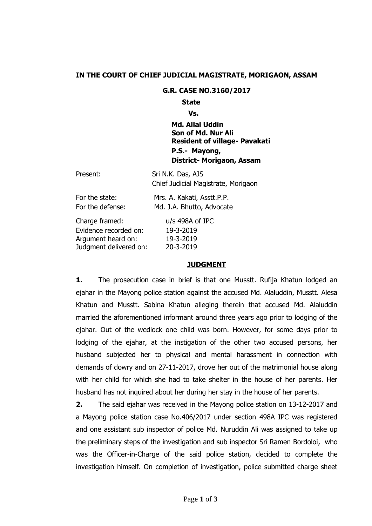# **IN THE COURT OF CHIEF JUDICIAL MAGISTRATE, MORIGAON, ASSAM**

#### **G.R. CASE NO.3160/2017**

### **State**

**Vs.**

**Md. Allal Uddin Son of Md. Nur Ali Resident of village- Pavakati P.S.- Mayong, District- Morigaon, Assam**

| Present:               | Sri N.K. Das, AJS<br>Chief Judicial Magistrate, Morigaon |
|------------------------|----------------------------------------------------------|
| For the state:         | Mrs. A. Kakati, Asstt.P.P.                               |
| For the defense:       | Md. J.A. Bhutto, Advocate                                |
| Charge framed:         | u/s 498A of IPC                                          |
| Evidence recorded on:  | 19-3-2019                                                |
| Argument heard on:     | 19-3-2019                                                |
| Judgment delivered on: | 20-3-2019                                                |

## **JUDGMENT**

**1.** The prosecution case in brief is that one Musstt. Rufija Khatun lodged an ejahar in the Mayong police station against the accused Md. Alaluddin, Musstt. Alesa Khatun and Musstt. Sabina Khatun alleging therein that accused Md. Alaluddin married the aforementioned informant around three years ago prior to lodging of the ejahar. Out of the wedlock one child was born. However, for some days prior to lodging of the ejahar, at the instigation of the other two accused persons, her husband subjected her to physical and mental harassment in connection with demands of dowry and on 27-11-2017, drove her out of the matrimonial house along with her child for which she had to take shelter in the house of her parents. Her husband has not inquired about her during her stay in the house of her parents.

**2.** The said ejahar was received in the Mayong police station on 13-12-2017 and a Mayong police station case No.406/2017 under section 498A IPC was registered and one assistant sub inspector of police Md. Nuruddin Ali was assigned to take up the preliminary steps of the investigation and sub inspector Sri Ramen Bordoloi, who was the Officer-in-Charge of the said police station, decided to complete the investigation himself. On completion of investigation, police submitted charge sheet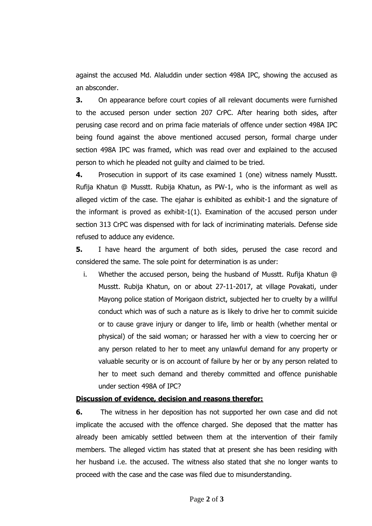against the accused Md. Alaluddin under section 498A IPC, showing the accused as an absconder.

**3.** On appearance before court copies of all relevant documents were furnished to the accused person under section 207 CrPC. After hearing both sides, after perusing case record and on prima facie materials of offence under section 498A IPC being found against the above mentioned accused person, formal charge under section 498A IPC was framed, which was read over and explained to the accused person to which he pleaded not guilty and claimed to be tried.

**4.** Prosecution in support of its case examined 1 (one) witness namely Musstt. Rufija Khatun @ Musstt. Rubija Khatun, as PW-1, who is the informant as well as alleged victim of the case. The ejahar is exhibited as exhibit-1 and the signature of the informant is proved as exhibit-1(1). Examination of the accused person under section 313 CrPC was dispensed with for lack of incriminating materials. Defense side refused to adduce any evidence.

**5.** I have heard the argument of both sides, perused the case record and considered the same. The sole point for determination is as under:

i. Whether the accused person, being the husband of Musstt. Rufija Khatun @ Musstt. Rubija Khatun, on or about 27-11-2017, at village Povakati, under Mayong police station of Morigaon district, subjected her to cruelty by a willful conduct which was of such a nature as is likely to drive her to commit suicide or to cause grave injury or danger to life, limb or health (whether mental or physical) of the said woman; or harassed her with a view to coercing her or any person related to her to meet any unlawful demand for any property or valuable security or is on account of failure by her or by any person related to her to meet such demand and thereby committed and offence punishable under section 498A of IPC?

## **Discussion of evidence, decision and reasons therefor:**

**6.** The witness in her deposition has not supported her own case and did not implicate the accused with the offence charged. She deposed that the matter has already been amicably settled between them at the intervention of their family members. The alleged victim has stated that at present she has been residing with her husband i.e. the accused. The witness also stated that she no longer wants to proceed with the case and the case was filed due to misunderstanding.